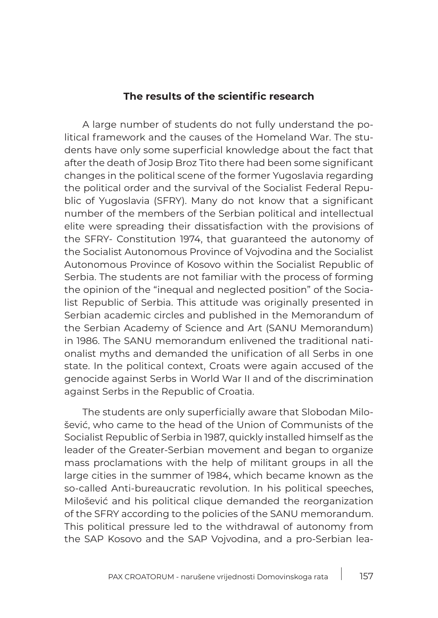## **The results of the scientific research**

A large number of students do not fully understand the political framework and the causes of the Homeland War. The students have only some superficial knowledge about the fact that after the death of Josip Broz Tito there had been some significant changes in the political scene of the former Yugoslavia regarding the political order and the survival of the Socialist Federal Republic of Yugoslavia (SFRY). Many do not know that a significant number of the members of the Serbian political and intellectual elite were spreading their dissatisfaction with the provisions of the SFRY- Constitution 1974, that guaranteed the autonomy of the Socialist Autonomous Province of Vojvodina and the Socialist Autonomous Province of Kosovo within the Socialist Republic of Serbia. The students are not familiar with the process of forming the opinion of the "inequal and neglected position" of the Socialist Republic of Serbia. This attitude was originally presented in Serbian academic circles and published in the Memorandum of the Serbian Academy of Science and Art (SANU Memorandum) in 1986. The SANU memorandum enlivened the traditional nationalist myths and demanded the unification of all Serbs in one state. In the political context, Croats were again accused of the genocide against Serbs in World War II and of the discrimination against Serbs in the Republic of Croatia.

The students are only superficially aware that Slobodan Milošević, who came to the head of the Union of Communists of the Socialist Republic of Serbia in 1987, quickly installed himself as the leader of the Greater-Serbian movement and began to organize mass proclamations with the help of militant groups in all the large cities in the summer of 1984, which became known as the so-called Anti-bureaucratic revolution. In his political speeches, Milošević and his political clique demanded the reorganization of the SFRY according to the policies of the SANU memorandum. This political pressure led to the withdrawal of autonomy from the SAP Kosovo and the SAP Vojvodina, and a pro-Serbian lea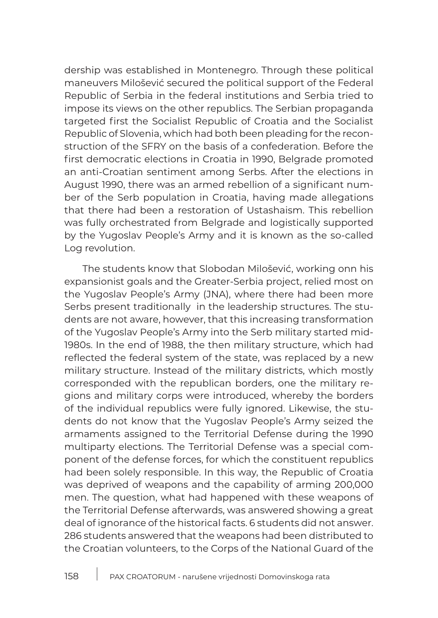dership was established in Montenegro. Through these political maneuvers Milošević secured the political support of the Federal Republic of Serbia in the federal institutions and Serbia tried to impose its views on the other republics. The Serbian propaganda targeted first the Socialist Republic of Croatia and the Socialist Republic of Slovenia, which had both been pleading for the reconstruction of the SFRY on the basis of a confederation. Before the first democratic elections in Croatia in 1990, Belgrade promoted an anti-Croatian sentiment among Serbs. After the elections in August 1990, there was an armed rebellion of a significant number of the Serb population in Croatia, having made allegations that there had been a restoration of Ustashaism. This rebellion was fully orchestrated from Belgrade and logistically supported by the Yugoslav People's Army and it is known as the so-called Log revolution.

The students know that Slobodan Milošević, working onn his expansionist goals and the Greater-Serbia project, relied most on the Yugoslav People's Army (JNA), where there had been more Serbs present traditionally in the leadership structures. The students are not aware, however, that this increasing transformation of the Yugoslav People's Army into the Serb military started mid-1980s. In the end of 1988, the then military structure, which had reflected the federal system of the state, was replaced by a new military structure. Instead of the military districts, which mostly corresponded with the republican borders, one the military regions and military corps were introduced, whereby the borders of the individual republics were fully ignored. Likewise, the students do not know that the Yugoslav People's Army seized the armaments assigned to the Territorial Defense during the 1990 multiparty elections. The Territorial Defense was a special component of the defense forces, for which the constituent republics had been solely responsible. In this way, the Republic of Croatia was deprived of weapons and the capability of arming 200,000 men. The question, what had happened with these weapons of the Territorial Defense afterwards, was answered showing a great deal of ignorance of the historical facts. 6 students did not answer. 286 students answered that the weapons had been distributed to the Croatian volunteers, to the Corps of the National Guard of the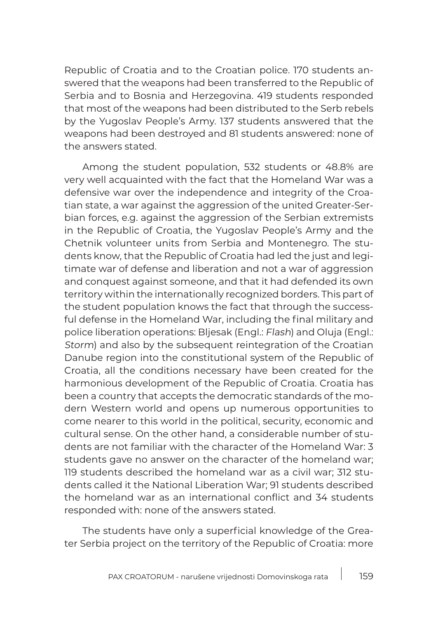Republic of Croatia and to the Croatian police. 170 students answered that the weapons had been transferred to the Republic of Serbia and to Bosnia and Herzegovina. 419 students responded that most of the weapons had been distributed to the Serb rebels by the Yugoslav People's Army. 137 students answered that the weapons had been destroyed and 81 students answered: none of the answers stated.

Among the student population, 532 students or 48.8% are very well acquainted with the fact that the Homeland War was a defensive war over the independence and integrity of the Croatian state, a war against the aggression of the united Greater-Serbian forces, e.g. against the aggression of the Serbian extremists in the Republic of Croatia, the Yugoslav People's Army and the Chetnik volunteer units from Serbia and Montenegro. The students know, that the Republic of Croatia had led the just and legitimate war of defense and liberation and not a war of aggression and conquest against someone, and that it had defended its own territory within the internationally recognized borders. This part of the student population knows the fact that through the successful defense in the Homeland War, including the final military and police liberation operations: Bljesak (Engl.: Flash) and Oluja (Engl.: Storm) and also by the subsequent reintegration of the Croatian Danube region into the constitutional system of the Republic of Croatia, all the conditions necessary have been created for the harmonious development of the Republic of Croatia. Croatia has been a country that accepts the democratic standards of the modern Western world and opens up numerous opportunities to come nearer to this world in the political, security, economic and cultural sense. On the other hand, a considerable number of students are not familiar with the character of the Homeland War: 3 students gave no answer on the character of the homeland war; 119 students described the homeland war as a civil war; 312 students called it the National Liberation War; 91 students described the homeland war as an international conflict and 34 students responded with: none of the answers stated.

The students have only a superficial knowledge of the Greater Serbia project on the territory of the Republic of Croatia: more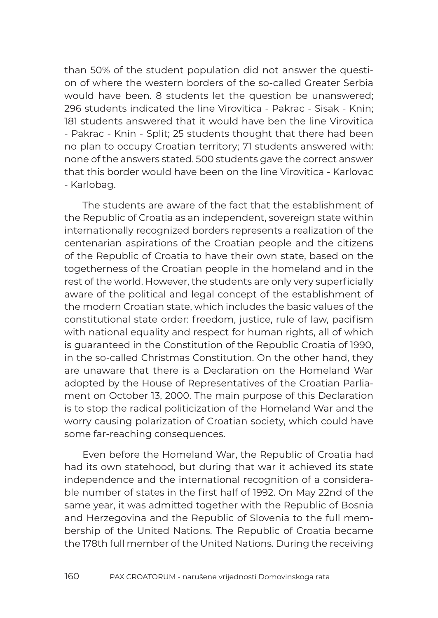than 50% of the student population did not answer the question of where the western borders of the so-called Greater Serbia would have been. 8 students let the question be unanswered; 296 students indicated the line Virovitica - Pakrac - Sisak - Knin; 181 students answered that it would have ben the line Virovitica - Pakrac - Knin - Split; 25 students thought that there had been no plan to occupy Croatian territory; 71 students answered with: none of the answers stated. 500 students gave the correct answer that this border would have been on the line Virovitica - Karlovac - Karlobag.

The students are aware of the fact that the establishment of the Republic of Croatia as an independent, sovereign state within internationally recognized borders represents a realization of the centenarian aspirations of the Croatian people and the citizens of the Republic of Croatia to have their own state, based on the togetherness of the Croatian people in the homeland and in the rest of the world. However, the students are only very superficially aware of the political and legal concept of the establishment of the modern Croatian state, which includes the basic values of the constitutional state order: freedom, justice, rule of law, pacifism with national equality and respect for human rights, all of which is guaranteed in the Constitution of the Republic Croatia of 1990, in the so-called Christmas Constitution. On the other hand, they are unaware that there is a Declaration on the Homeland War adopted by the House of Representatives of the Croatian Parliament on October 13, 2000. The main purpose of this Declaration is to stop the radical politicization of the Homeland War and the worry causing polarization of Croatian society, which could have some far-reaching consequences.

Even before the Homeland War, the Republic of Croatia had had its own statehood, but during that war it achieved its state independence and the international recognition of a considerable number of states in the first half of 1992. On May 22nd of the same year, it was admitted together with the Republic of Bosnia and Herzegovina and the Republic of Slovenia to the full membership of the United Nations. The Republic of Croatia became the 178th full member of the United Nations. During the receiving